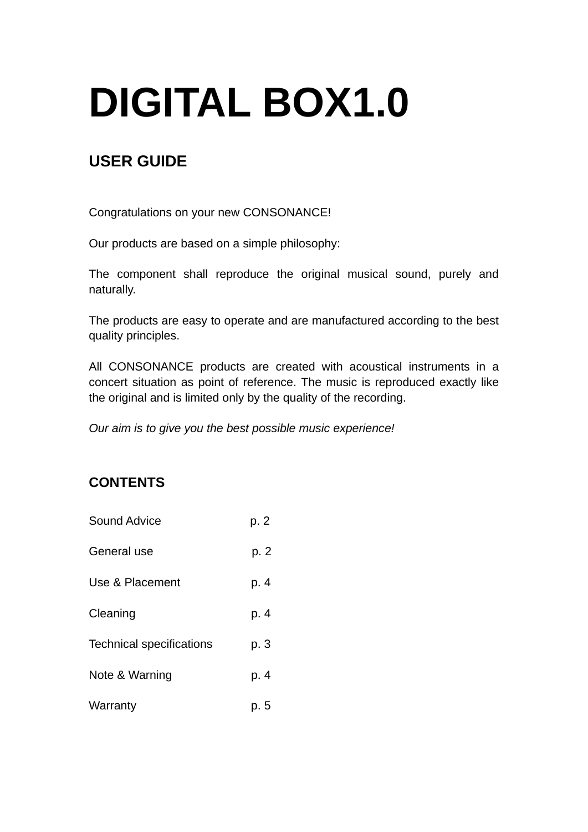## **DIGITAL BOX1.0**

## **USER GUIDE**

Congratulations on your new CONSONANCE!

Our products are based on a simple philosophy:

The component shall reproduce the original musical sound, purely and naturally.

The products are easy to operate and are manufactured according to the best quality principles.

All CONSONANCE products are created with acoustical instruments in a concert situation as point of reference. The music is reproduced exactly like the original and is limited only by the quality of the recording.

*Our aim is to give you the best possible music experience!* 

## **CONTENTS**

Sound Advice b. 2 General use b. 2 Use & Placement p. 4 Cleaning p. 4 Technical specifications p. 3 Note & Warning b. 4 Warranty **p. 5**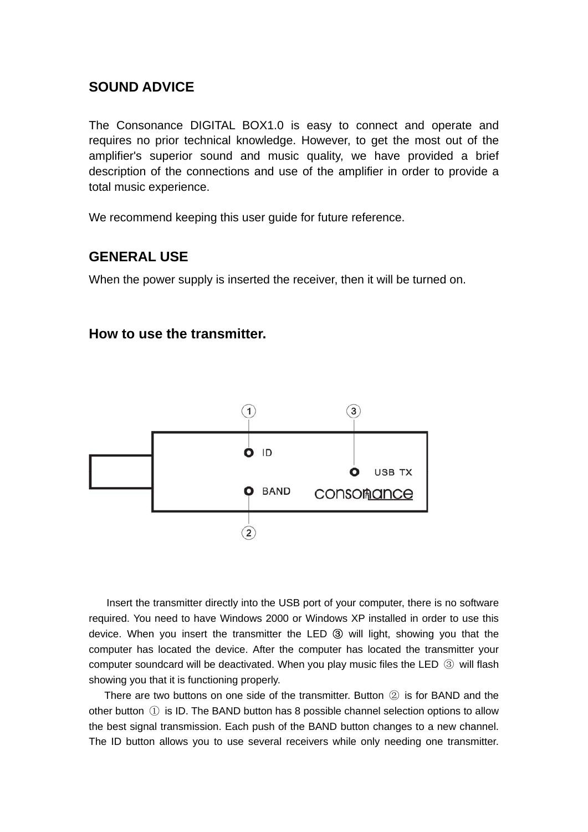### **SOUND ADVICE**

The Consonance DIGITAL BOX1.0 is easy to connect and operate and requires no prior technical knowledge. However, to get the most out of the amplifier's superior sound and music quality, we have provided a brief description of the connections and use of the amplifier in order to provide a total music experience.

We recommend keeping this user guide for future reference.

### **GENERAL USE**

When the power supply is inserted the receiver, then it will be turned on.

#### **How to use the transmitter.**



 Insert the transmitter directly into the USB port of your computer, there is no software required. You need to have Windows 2000 or Windows XP installed in order to use this device. When you insert the transmitter the LED ③ will light, showing you that the computer has located the device. After the computer has located the transmitter your computer soundcard will be deactivated. When you play music files the LED ③ will flash showing you that it is functioning properly.

 There are two buttons on one side of the transmitter. Button ② is for BAND and the other button ① is ID. The BAND button has 8 possible channel selection options to allow the best signal transmission. Each push of the BAND button changes to a new channel. The ID button allows you to use several receivers while only needing one transmitter.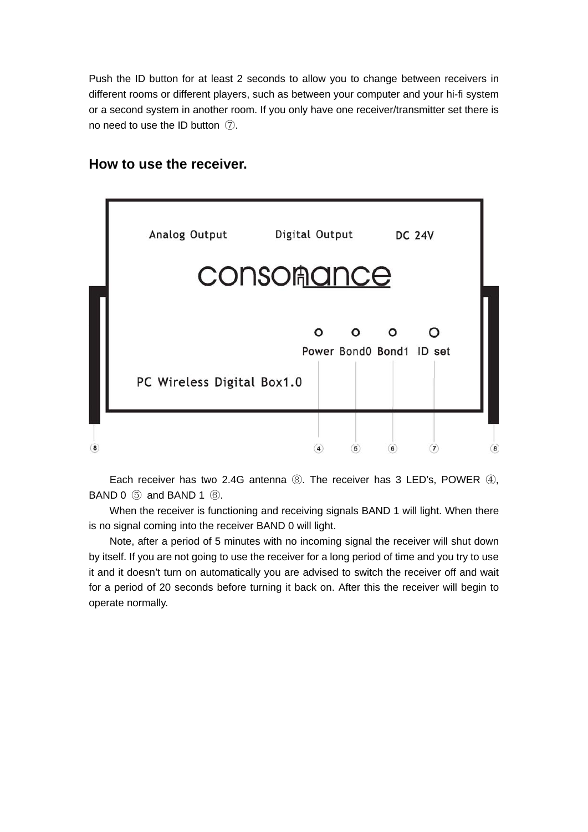Push the ID button for at least 2 seconds to allow you to change between receivers in different rooms or different players, such as between your computer and your hi-fi system or a second system in another room. If you only have one receiver/transmitter set there is no need to use the ID button ⑦.

## Analog Output Digital Output **DC 24V CONSOMance**  $\Omega$  $\Omega$ ∩ Power Bond0 Bond1 ID set PC Wireless Digital Box1.0  $\circled{8}$  $\circled{4}$  $\circledast$  $\left( 7\right)$  $\circled{8}$  $(5)$

**How to use the receiver.** 

 Each receiver has two 2.4G antenna ⑧. The receiver has 3 LED's, POWER ④, BAND 0 ⑤ and BAND 1 ⑥.

When the receiver is functioning and receiving signals BAND 1 will light. When there is no signal coming into the receiver BAND 0 will light.

 Note, after a period of 5 minutes with no incoming signal the receiver will shut down by itself. If you are not going to use the receiver for a long period of time and you try to use it and it doesn't turn on automatically you are advised to switch the receiver off and wait for a period of 20 seconds before turning it back on. After this the receiver will begin to operate normally.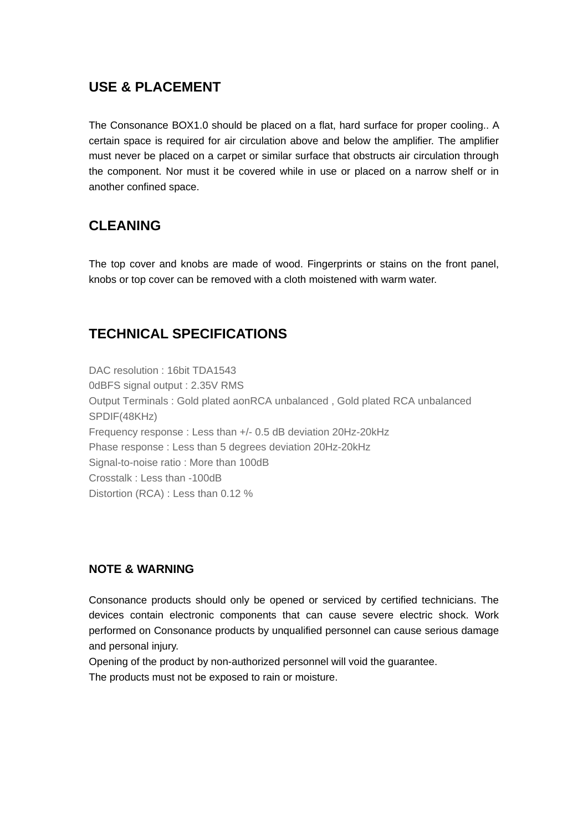## **USE & PLACEMENT**

The Consonance BOX1.0 should be placed on a flat, hard surface for proper cooling.. A certain space is required for air circulation above and below the amplifier. The amplifier must never be placed on a carpet or similar surface that obstructs air circulation through the component. Nor must it be covered while in use or placed on a narrow shelf or in another confined space.

## **CLEANING**

The top cover and knobs are made of wood. Fingerprints or stains on the front panel, knobs or top cover can be removed with a cloth moistened with warm water.

## **TECHNICAL SPECIFICATIONS**

DAC resolution : 16bit TDA1543 0dBFS signal output : 2.35V RMS Output Terminals : Gold plated aonRCA unbalanced , Gold plated RCA unbalanced SPDIF(48KHz) Frequency response : Less than +/- 0.5 dB deviation 20Hz-20kHz Phase response : Less than 5 degrees deviation 20Hz-20kHz Signal-to-noise ratio : More than 100dB Crosstalk : Less than -100dB Distortion (RCA) : Less than 0.12 %

### **NOTE & WARNING**

Consonance products should only be opened or serviced by certified technicians. The devices contain electronic components that can cause severe electric shock. Work performed on Consonance products by unqualified personnel can cause serious damage and personal injury.

Opening of the product by non-authorized personnel will void the guarantee.

The products must not be exposed to rain or moisture.